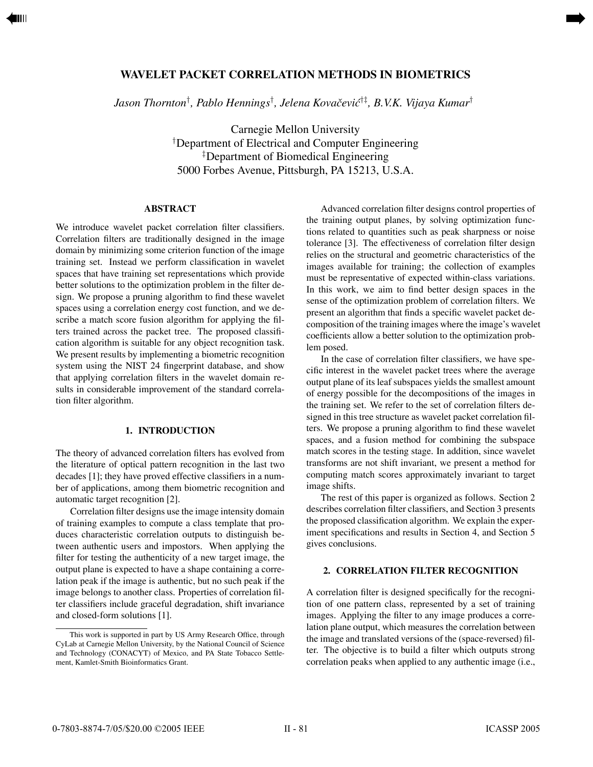# **WAVELET PACKET CORRELATION METHODS IN BIOMETRICS**

<span id="page-0-0"></span>[➡](#page-1-0)

*Jason Thornton*† *, Pablo Hennings*† *, Jelena Kovacevi ˇ c´*†‡*, B.V.K. Vijaya Kumar*†

Carnegie Mellon University † Department of Electrical and Computer Engineering ‡ Department of Biomedical Engineering 5000 Forbes Avenue, Pittsburgh, PA 15213, U.S.A.

### **ABSTRACT**

We introduce wavelet packet correlation filter classifiers. Correlation filters are traditionally designed in the image domain by minimizing some criterion function of the image training set. Instead we perform classification in wavelet spaces that have training set representations which provide better solutions to the optimization problem in the filter design. We propose a pruning algorithm to find these wavelet spaces using a correlation energy cost function, and we describe a match score fusion algorithm for applying the filters trained across the packet tree. The proposed classification algorithm is suitable for any object recognition task. We present results by implementing a biometric recognition system using the NIST 24 fingerprint database, and show that applying correlation filters in the wavelet domain results in considerable improvement of the standard correlation filter algorithm.

## **1. INTRODUCTION**

The theory of advanced correlation filters has evolved from the literature of optical pattern recognition in the last two decades [1]; they have proved effective classifiers in a number of applications, among them biometric recognition and automatic target recognition [2].

Correlation filter designs use the image intensity domain of training examples to compute a class template that produces characteristic correlation outputs to distinguish between authentic users and impostors. When applying the filter for testing the authenticity of a new target image, the output plane is expected to have a shape containing a correlation peak if the image is authentic, but no such peak if the image belongs to another class. Properties of correlation filter classifiers include graceful degradation, shift invariance and closed-form solutions [1].

Advanced correlation filter designs control properties of the training output planes, by solving optimization functions related to quantities such as peak sharpness or noise tolerance [3]. The effectiveness of correlation filter design relies on the structural and geometric characteristics of the images available for training; the collection of examples must be representative of expected within-class variations. In this work, we aim to find better design spaces in the sense of the optimization problem of correlation filters. We present an algorithm that finds a specific wavelet packet decomposition of the training images where the image's wavelet coefficients allow a better solution to the optimization problem posed.

In the case of correlation filter classifiers, we have specific interest in the wavelet packet trees where the average output plane of its leaf subspaces yields the smallest amount of energy possible for the decompositions of the images in the training set. We refer to the set of correlation filters designed in this tree structure as wavelet packet correlation filters. We propose a pruning algorithm to find these wavelet spaces, and a fusion method for combining the subspace match scores in the testing stage. In addition, since wavelet transforms are not shift invariant, we present a method for computing match scores approximately invariant to target image shifts.

The rest of this paper is organized as follows. Section 2 describes correlation filter classifiers, and Section 3 presents the proposed classification algorithm. We explain the experiment specifications and results in Section 4, and Section 5 gives conclusions.

## **2. CORRELATION FILTER RECOGNITION**

A correlation filter is designed specifically for the recognition of one pattern class, represented by a set of training images. Applying the filter to any image produces a correlation plane output, which measures the correlation between the image and translated versions of the (space-reversed) filter. The objective is to build a filter which outputs strong correlation peaks when applied to any authentic image (i.e.,

This work is supported in part by US Army Research Office, through CyLab at Carnegie Mellon University, by the National Council of Science and Technology (CONACYT) of Mexico, and PA State Tobacco Settlement, Kamlet-Smith Bioinformatics Grant.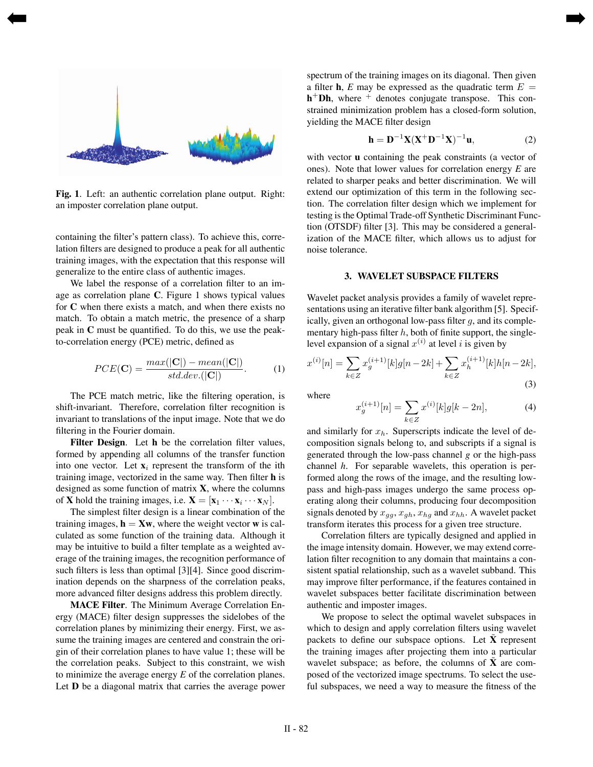

<span id="page-1-0"></span>[➡](#page-0-0)

**Fig. 1**. Left: an authentic correlation plane output. Right: an imposter correlation plane output.

containing the filter's pattern class). To achieve this, correlation filters are designed to produce a peak for all authentic training images, with the expectation that this response will generalize to the entire class of authentic images.

We label the response of a correlation filter to an image as correlation plane **C**. Figure 1 shows typical values for **C** when there exists a match, and when there exists no match. To obtain a match metric, the presence of a sharp peak in **C** must be quantified. To do this, we use the peakto-correlation energy (PCE) metric, defined as

$$
PCE(\mathbf{C}) = \frac{max(|\mathbf{C}|) - mean(|\mathbf{C}|)}{std.dev.(|\mathbf{C}|)}.
$$
 (1)

The PCE match metric, like the filtering operation, is shift-invariant. Therefore, correlation filter recognition is invariant to translations of the input image. Note that we do filtering in the Fourier domain.

**Filter Design**. Let **h** be the correlation filter values, formed by appending all columns of the transfer function into one vector. Let  $\mathbf{x}_i$  represent the transform of the ith training image, vectorized in the same way. Then filter **h** is designed as some function of matrix **X**, where the columns of **X** hold the training images, i.e.  $\mathbf{X} = [\mathbf{x}_1 \cdots \mathbf{x}_i \cdots \mathbf{x}_N].$ 

The simplest filter design is a linear combination of the training images,  $\mathbf{h} = \mathbf{X}\mathbf{w}$ , where the weight vector **w** is calculated as some function of the training data. Although it may be intuitive to build a filter template as a weighted average of the training images, the recognition performance of such filters is less than optimal [3][4]. Since good discrimination depends on the sharpness of the correlation peaks, more advanced filter designs address this problem directly.

**MACE Filter**. The Minimum Average Correlation Energy (MACE) filter design suppresses the sidelobes of the correlation planes by minimizing their energy. First, we assume the training images are centered and constrain the origin of their correlation planes to have value 1; these will be the correlation peaks. Subject to this constraint, we wish to minimize the average energy *E* of the correlation planes. Let **D** be a diagonal matrix that carries the average power

spectrum of the training images on its diagonal. Then given a filter **h**, *E* may be expressed as the quadratic term  $E =$  $h<sup>+</sup> Dh$ , where  $+$  denotes conjugate transpose. This constrained minimization problem has a closed-form solution, yielding the MACE filter design

$$
h = D^{-1}X(X^+D^{-1}X)^{-1}u,
$$
 (2)

with vector **u** containing the peak constraints (a vector of ones). Note that lower values for correlation energy *E* are related to sharper peaks and better discrimination. We will extend our optimization of this term in the following section. The correlation filter design which we implement for testing is the Optimal Trade-off Synthetic Discriminant Function (OTSDF) filter [3]. This may be considered a generalization of the MACE filter, which allows us to adjust for noise tolerance.

#### **3. WAVELET SUBSPACE FILTERS**

Wavelet packet analysis provides a family of wavelet representations using an iterative filter bank algorithm [5]. Specifically, given an orthogonal low-pass filter  $g$ , and its complementary high-pass filter  $h$ , both of finite support, the singlelevel expansion of a signal  $x^{(i)}$  at level i is given by

$$
x^{(i)}[n] = \sum_{k \in \mathbb{Z}} x_g^{(i+1)}[k]g[n-2k] + \sum_{k \in \mathbb{Z}} x_h^{(i+1)}[k]h[n-2k],\tag{3}
$$

where

[➡](#page-2-0)

$$
x_g^{(i+1)}[n] = \sum_{k \in \mathbb{Z}} x^{(i)}[k]g[k-2n],\tag{4}
$$

and similarly for  $x_h$ . Superscripts indicate the level of de-<br>composition signals belong to and subscripts if a signal is composition signals belong to, and subscripts if a signal is generated through the low-pass channel *g* or the high-pass channel *h*. For separable wavelets, this operation is performed along the rows of the image, and the resulting lowpass and high-pass images undergo the same process operating along their columns, producing four decomposition signals denoted by  $x_{gg}$ ,  $x_{gh}$ ,  $x_{hg}$  and  $x_{hh}$ . A wavelet packet transform iterates this process for a given tree structure.

Correlation filters are typically designed and applied in the image intensity domain. However, we may extend correlation filter recognition to any domain that maintains a consistent spatial relationship, such as a wavelet subband. This may improve filter performance, if the features contained in wavelet subspaces better facilitate discrimination between authentic and imposter images.

We propose to select the optimal wavelet subspaces in which to design and apply correlation filters using wavelet packets to define our subspace options. Let  $\tilde{\mathbf{X}}$  represent the training images after projecting them into a particular wavelet subspace; as before, the columns of  $\hat{\mathbf{X}}$  are composed of the vectorized image spectrums. To select the useful subspaces, we need a way to measure the fitness of the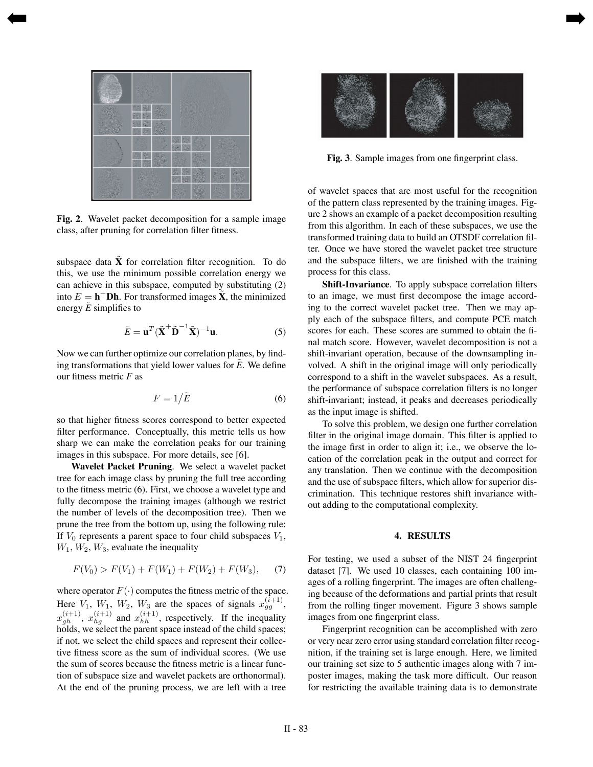

<span id="page-2-0"></span>[➡](#page-1-0)

**Fig. 2**. Wavelet packet decomposition for a sample image class, after pruning for correlation filter fitness.

subspace data **X** for correlation filter recognition. To do this, we use the minimum possible correlation energy we can achieve in this subspace, computed by substituting (2) into  $E = \mathbf{h}^+ \mathbf{D} \mathbf{h}$ . For transformed images  $\ddot{\mathbf{X}}$ , the minimized energy  $E$  simplifies to

$$
\tilde{E} = \mathbf{u}^T (\tilde{\mathbf{X}}^+ \tilde{\mathbf{D}}^{-1} \tilde{\mathbf{X}})^{-1} \mathbf{u}.
$$
 (5)

Now we can further optimize our correlation planes, by finding transformations that yield lower values for *E*. We define our fitness metric *F* as

$$
F = 1/\tilde{E} \tag{6}
$$

so that higher fitness scores correspond to better expected filter performance. Conceptually, this metric tells us how sharp we can make the correlation peaks for our training images in this subspace. For more details, see [6].

**Wavelet Packet Pruning**. We select a wavelet packet tree for each image class by pruning the full tree according to the fitness metric (6). First, we choose a wavelet type and fully decompose the training images (although we restrict the number of levels of the decomposition tree). Then we prune the tree from the bottom up, using the following rule: If  $V_0$  represents a parent space to four child subspaces  $V_1$ ,  $W_1, W_2, W_3$ , evaluate the inequality

$$
F(V_0) > F(V_1) + F(W_1) + F(W_2) + F(W_3), \quad (7)
$$

where operator  $F(\cdot)$  computes the fitness metric of the space. Here  $V_1$ ,  $W_1$ ,  $W_2$ ,  $W_3$  are the spaces of signals  $x_{gg}^{(i+1)}$ ,  $(x+1)$  $x_{gh}^{(i+1)}$ ,  $x_{hg}^{(i+1)}$  and  $x_{hh}^{(i+1)}$ , respectively. If the inequality  $x_{gh}^{(i+1)}$  holds we select the parent space instead of the child spaces: holds, we select the parent space instead of the child spaces; if not, we select the child spaces and represent their collective fitness score as the sum of individual scores. (We use the sum of scores because the fitness metric is a linear function of subspace size and wavelet packets are orthonormal). At the end of the pruning process, we are left with a tree



[➡](#page-3-0)

**Fig. 3**. Sample images from one fingerprint class.

of wavelet spaces that are most useful for the recognition of the pattern class represented by the training images. Figure 2 shows an example of a packet decomposition resulting from this algorithm. In each of these subspaces, we use the transformed training data to build an OTSDF correlation filter. Once we have stored the wavelet packet tree structure and the subspace filters, we are finished with the training process for this class.

**Shift-Invariance**. To apply subspace correlation filters to an image, we must first decompose the image according to the correct wavelet packet tree. Then we may apply each of the subspace filters, and compute PCE match scores for each. These scores are summed to obtain the final match score. However, wavelet decomposition is not a shift-invariant operation, because of the downsampling involved. A shift in the original image will only periodically correspond to a shift in the wavelet subspaces. As a result, the performance of subspace correlation filters is no longer shift-invariant; instead, it peaks and decreases periodically as the input image is shifted.

To solve this problem, we design one further correlation filter in the original image domain. This filter is applied to the image first in order to align it; i.e., we observe the location of the correlation peak in the output and correct for any translation. Then we continue with the decomposition and the use of subspace filters, which allow for superior discrimination. This technique restores shift invariance without adding to the computational complexity.

#### **4. RESULTS**

For testing, we used a subset of the NIST 24 fingerprint dataset [7]. We used 10 classes, each containing 100 images of a rolling fingerprint. The images are often challenging because of the deformations and partial prints that result from the rolling finger movement. Figure 3 shows sample images from one fingerprint class.

Fingerprint recognition can be accomplished with zero or very near zero error using standard correlation filter recognition, if the training set is large enough. Here, we limited our training set size to 5 authentic images along with 7 imposter images, making the task more difficult. Our reason for restricting the available training data is to demonstrate